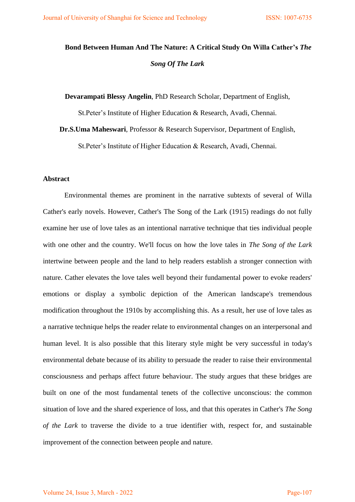## **Bond Between Human And The Nature: A Critical Study On Willa Cather's** *The Song Of The Lark*

**Devarampati Blessy Angelin**, PhD Research Scholar, Department of English,

St.Peter"s Institute of Higher Education & Research, Avadi, Chennai.

**Dr.S.Uma Maheswari**, Professor & Research Supervisor, Department of English, St.Peter's Institute of Higher Education & Research, Avadi, Chennai.

## **Abstract**

 Environmental themes are prominent in the narrative subtexts of several of Willa Cather's early novels. However, Cather's The Song of the Lark (1915) readings do not fully examine her use of love tales as an intentional narrative technique that ties individual people with one other and the country. We'll focus on how the love tales in *The Song of the Lark* intertwine between people and the land to help readers establish a stronger connection with nature. Cather elevates the love tales well beyond their fundamental power to evoke readers' emotions or display a symbolic depiction of the American landscape's tremendous modification throughout the 1910s by accomplishing this. As a result, her use of love tales as a narrative technique helps the reader relate to environmental changes on an interpersonal and human level. It is also possible that this literary style might be very successful in today's environmental debate because of its ability to persuade the reader to raise their environmental consciousness and perhaps affect future behaviour. The study argues that these bridges are built on one of the most fundamental tenets of the collective unconscious: the common situation of love and the shared experience of loss, and that this operates in Cather's *The Song of the Lark* to traverse the divide to a true identifier with, respect for, and sustainable improvement of the connection between people and nature.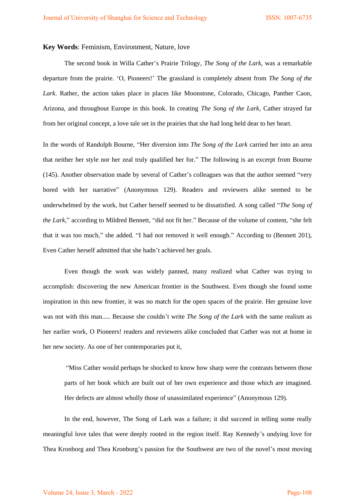## **Key Words**: Feminism, Environment, Nature, love

 The second book in Willa Cather"s Prairie Trilogy*, The Song of the Lark,* was a remarkable departure from the prairie. "O, Pioneers!" The grassland is completely absent from *The Song of the Lark*. Rather, the action takes place in places like Moonstone, Colorado, Chicago, Panther Caon, Arizona, and throughout Europe in this book. In creating *The Song of the Lark*, Cather strayed far from her original concept, a love tale set in the prairies that she had long held dear to her heart.

In the words of Randolph Bourne, "Her diversion into *The Song of the Lark* carried her into an area that neither her style nor her zeal truly qualified her for." The following is an excerpt from Bourne (145). Another observation made by several of Cather"s colleagues was that the author seemed "very bored with her narrative" (Anonymous 129). Readers and reviewers alike seemed to be underwhelmed by the work, but Cather herself seemed to be dissatisfied. A song called "*The Song of the Lark*," according to Mildred Bennett, "did not fit her." Because of the volume of content, "she felt that it was too much," she added. "I had not removed it well enough." According to (Bennett 201), Even Cather herself admitted that she hadn"t achieved her goals.

 Even though the work was widely panned, many realized what Cather was trying to accomplish: discovering the new American frontier in the Southwest. Even though she found some inspiration in this new frontier, it was no match for the open spaces of the prairie. Her genuine love was not with this man..... Because she couldn"t write *The Song of the Lark* with the same realism as her earlier work, O Pioneers! readers and reviewers alike concluded that Cather was not at home in her new society. As one of her contemporaries put it,

"Miss Cather would perhaps be shocked to know how sharp were the contrasts between those parts of her book which are built out of her own experience and those which are imagined. Her defects are almost wholly those of unassimilated experience" (Anonymous 129).

 In the end, however, The Song of Lark was a failure; it did succeed in telling some really meaningful love tales that were deeply rooted in the region itself. Ray Kennedy"s undying love for Thea Kronborg and Thea Kronborg"s passion for the Southwest are two of the novel"s most moving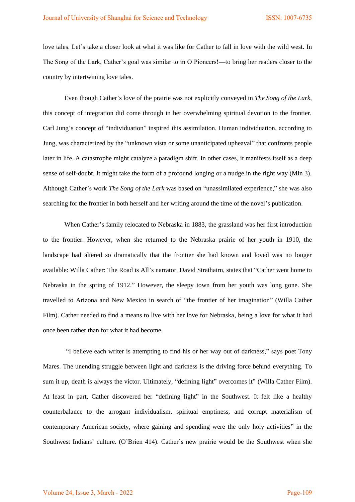love tales. Let's take a closer look at what it was like for Cather to fall in love with the wild west. In The Song of the Lark, Cather"s goal was similar to in O Pioneers!—to bring her readers closer to the country by intertwining love tales.

 Even though Cather"s love of the prairie was not explicitly conveyed in *The Song of the Lark*, this concept of integration did come through in her overwhelming spiritual devotion to the frontier. Carl Jung"s concept of "individuation" inspired this assimilation. Human individuation, according to Jung, was characterized by the "unknown vista or some unanticipated upheaval" that confronts people later in life. A catastrophe might catalyze a paradigm shift. In other cases, it manifests itself as a deep sense of self-doubt. It might take the form of a profound longing or a nudge in the right way (Min 3). Although Cather"s work *The Song of the Lark* was based on "unassimilated experience," she was also searching for the frontier in both herself and her writing around the time of the novel"s publication.

When Cather's family relocated to Nebraska in 1883, the grassland was her first introduction to the frontier. However, when she returned to the Nebraska prairie of her youth in 1910, the landscape had altered so dramatically that the frontier she had known and loved was no longer available: Willa Cather: The Road is All"s narrator, David Strathairn, states that "Cather went home to Nebraska in the spring of 1912." However, the sleepy town from her youth was long gone. She travelled to Arizona and New Mexico in search of "the frontier of her imagination" (Willa Cather Film). Cather needed to find a means to live with her love for Nebraska, being a love for what it had once been rather than for what it had become.

 "I believe each writer is attempting to find his or her way out of darkness," says poet Tony Mares. The unending struggle between light and darkness is the driving force behind everything. To sum it up, death is always the victor. Ultimately, "defining light" overcomes it" (Willa Cather Film). At least in part, Cather discovered her "defining light" in the Southwest. It felt like a healthy counterbalance to the arrogant individualism, spiritual emptiness, and corrupt materialism of contemporary American society, where gaining and spending were the only holy activities" in the Southwest Indians' culture. (O'Brien 414). Cather's new prairie would be the Southwest when she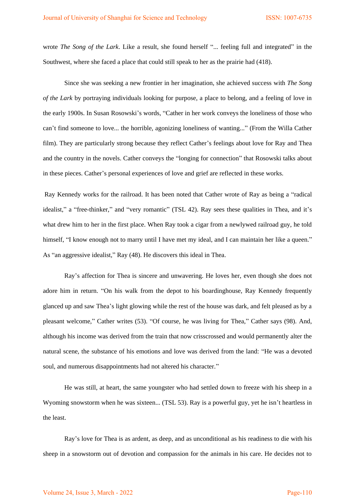wrote *The Song of the Lark*. Like a result, she found herself "... feeling full and integrated" in the Southwest, where she faced a place that could still speak to her as the prairie had (418).

 Since she was seeking a new frontier in her imagination, she achieved success with *The Song of the Lark* by portraying individuals looking for purpose, a place to belong, and a feeling of love in the early 1900s. In Susan Rosowski"s words, "Cather in her work conveys the loneliness of those who can"t find someone to love... the horrible, agonizing loneliness of wanting..." (From the Willa Cather film). They are particularly strong because they reflect Cather"s feelings about love for Ray and Thea and the country in the novels. Cather conveys the "longing for connection" that Rosowski talks about in these pieces. Cather"s personal experiences of love and grief are reflected in these works.

 Ray Kennedy works for the railroad. It has been noted that Cather wrote of Ray as being a "radical idealist," a "free-thinker," and "very romantic" (TSL 42). Ray sees these qualities in Thea, and it's what drew him to her in the first place. When Ray took a cigar from a newlywed railroad guy, he told himself, "I know enough not to marry until I have met my ideal, and I can maintain her like a queen." As "an aggressive idealist," Ray (48). He discovers this ideal in Thea.

 Ray"s affection for Thea is sincere and unwavering. He loves her, even though she does not adore him in return. "On his walk from the depot to his boardinghouse, Ray Kennedy frequently glanced up and saw Thea"s light glowing while the rest of the house was dark, and felt pleased as by a pleasant welcome," Cather writes (53). "Of course, he was living for Thea," Cather says (98). And, although his income was derived from the train that now crisscrossed and would permanently alter the natural scene, the substance of his emotions and love was derived from the land: "He was a devoted soul, and numerous disappointments had not altered his character."

 He was still, at heart, the same youngster who had settled down to freeze with his sheep in a Wyoming snowstorm when he was sixteen... (TSL 53). Ray is a powerful guy, yet he isn't heartless in the least.

 Ray"s love for Thea is as ardent, as deep, and as unconditional as his readiness to die with his sheep in a snowstorm out of devotion and compassion for the animals in his care. He decides not to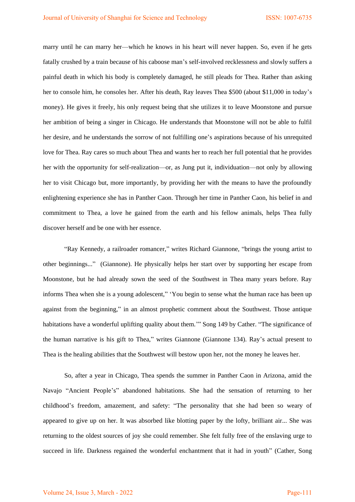marry until he can marry her—which he knows in his heart will never happen. So, even if he gets fatally crushed by a train because of his caboose man"s self-involved recklessness and slowly suffers a painful death in which his body is completely damaged, he still pleads for Thea. Rather than asking her to console him, he consoles her. After his death, Ray leaves Thea \$500 (about \$11,000 in today's money). He gives it freely, his only request being that she utilizes it to leave Moonstone and pursue her ambition of being a singer in Chicago. He understands that Moonstone will not be able to fulfil her desire, and he understands the sorrow of not fulfilling one's aspirations because of his unrequited love for Thea. Ray cares so much about Thea and wants her to reach her full potential that he provides her with the opportunity for self-realization—or, as Jung put it, individuation—not only by allowing her to visit Chicago but, more importantly, by providing her with the means to have the profoundly enlightening experience she has in Panther Caon. Through her time in Panther Caon, his belief in and commitment to Thea, a love he gained from the earth and his fellow animals, helps Thea fully discover herself and be one with her essence.

 "Ray Kennedy, a railroader romancer," writes Richard Giannone, "brings the young artist to other beginnings..." (Giannone). He physically helps her start over by supporting her escape from Moonstone, but he had already sown the seed of the Southwest in Thea many years before. Ray informs Thea when she is a young adolescent," "You begin to sense what the human race has been up against from the beginning," in an almost prophetic comment about the Southwest. Those antique habitations have a wonderful uplifting quality about them."" Song 149 by Cather. "The significance of the human narrative is his gift to Thea," writes Giannone (Giannone 134). Ray"s actual present to Thea is the healing abilities that the Southwest will bestow upon her, not the money he leaves her.

 So, after a year in Chicago, Thea spends the summer in Panther Caon in Arizona, amid the Navajo "Ancient People"s" abandoned habitations. She had the sensation of returning to her childhood"s freedom, amazement, and safety: "The personality that she had been so weary of appeared to give up on her. It was absorbed like blotting paper by the lofty, brilliant air... She was returning to the oldest sources of joy she could remember. She felt fully free of the enslaving urge to succeed in life. Darkness regained the wonderful enchantment that it had in youth" (Cather, Song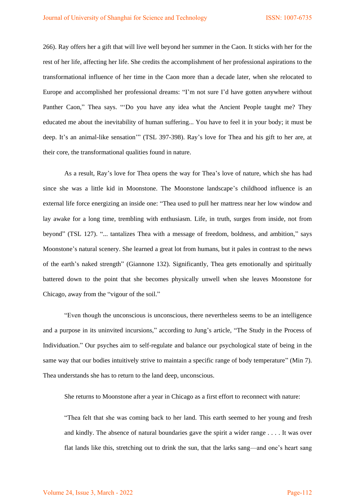266). Ray offers her a gift that will live well beyond her summer in the Caon. It sticks with her for the rest of her life, affecting her life. She credits the accomplishment of her professional aspirations to the transformational influence of her time in the Caon more than a decade later, when she relocated to Europe and accomplished her professional dreams: "I"m not sure I"d have gotten anywhere without Panther Caon," Thea says. ""Do you have any idea what the Ancient People taught me? They educated me about the inevitability of human suffering... You have to feel it in your body; it must be deep. It's an animal-like sensation"" (TSL 397-398). Ray's love for Thea and his gift to her are, at their core, the transformational qualities found in nature.

 As a result, Ray"s love for Thea opens the way for Thea"s love of nature, which she has had since she was a little kid in Moonstone. The Moonstone landscape"s childhood influence is an external life force energizing an inside one: "Thea used to pull her mattress near her low window and lay awake for a long time, trembling with enthusiasm. Life, in truth, surges from inside, not from beyond" (TSL 127). "... tantalizes Thea with a message of freedom, boldness, and ambition," says Moonstone"s natural scenery. She learned a great lot from humans, but it pales in contrast to the news of the earth's naked strength" (Giannone 132). Significantly, Thea gets emotionally and spiritually battered down to the point that she becomes physically unwell when she leaves Moonstone for Chicago, away from the "vigour of the soil."

 "Even though the unconscious is unconscious, there nevertheless seems to be an intelligence and a purpose in its uninvited incursions," according to Jung"s article, "The Study in the Process of Individuation." Our psyches aim to self-regulate and balance our psychological state of being in the same way that our bodies intuitively strive to maintain a specific range of body temperature" (Min 7). Thea understands she has to return to the land deep, unconscious.

She returns to Moonstone after a year in Chicago as a first effort to reconnect with nature:

"Thea felt that she was coming back to her land. This earth seemed to her young and fresh and kindly. The absence of natural boundaries gave the spirit a wider range . . . . It was over flat lands like this, stretching out to drink the sun, that the larks sang—and one"s heart sang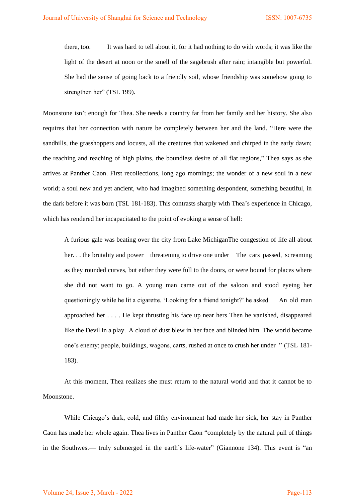there, too. It was hard to tell about it, for it had nothing to do with words; it was like the light of the desert at noon or the smell of the sagebrush after rain; intangible but powerful. She had the sense of going back to a friendly soil, whose friendship was somehow going to strengthen her" (TSL 199).

Moonstone isn't enough for Thea. She needs a country far from her family and her history. She also requires that her connection with nature be completely between her and the land. "Here were the sandhills, the grasshoppers and locusts, all the creatures that wakened and chirped in the early dawn; the reaching and reaching of high plains, the boundless desire of all flat regions," Thea says as she arrives at Panther Caon. First recollections, long ago mornings; the wonder of a new soul in a new world; a soul new and yet ancient, who had imagined something despondent, something beautiful, in the dark before it was born (TSL 181-183). This contrasts sharply with Thea"s experience in Chicago, which has rendered her incapacitated to the point of evoking a sense of hell:

A furious gale was beating over the city from Lake MichiganThe congestion of life all about her... the brutality and power threatening to drive one under The cars passed, screaming as they rounded curves, but either they were full to the doors, or were bound for places where she did not want to go. A young man came out of the saloon and stood eyeing her questioningly while he lit a cigarette. 'Looking for a friend tonight?' he asked An old man approached her . . . . He kept thrusting his face up near hers Then he vanished, disappeared like the Devil in a play. A cloud of dust blew in her face and blinded him. The world became one"s enemy; people, buildings, wagons, carts, rushed at once to crush her under " (TSL 181- 183).

 At this moment, Thea realizes she must return to the natural world and that it cannot be to Moonstone.

 While Chicago"s dark, cold, and filthy environment had made her sick, her stay in Panther Caon has made her whole again. Thea lives in Panther Caon "completely by the natural pull of things in the Southwest— truly submerged in the earth's life-water" (Giannone 134). This event is "an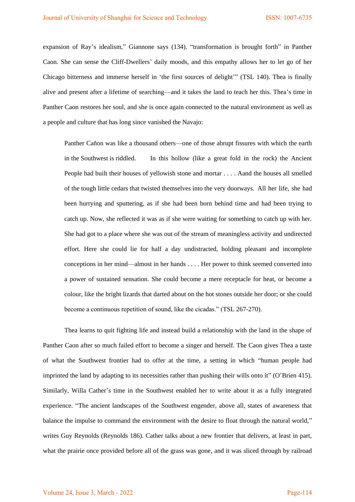expansion of Ray"s idealism," Giannone says (134). "transformation is brought forth" in Panther Caon. She can sense the Cliff-Dwellers" daily moods, and this empathy allows her to let go of her Chicago bitterness and immerse herself in "the first sources of delight"" (TSL 140). Thea is finally alive and present after a lifetime of searching—and it takes the land to teach her this. Thea"s time in Panther Caon restores her soul, and she is once again connected to the natural environment as well as a people and culture that has long since vanished the Navajo:

Panther Cañon was like a thousand others—one of those abrupt fissures with which the earth in the Southwest is riddled. In this hollow (like a great fold in the rock) the Ancient People had built their houses of yellowish stone and mortar . . . . Aand the houses all smelled of the tough little cedars that twisted themselves into the very doorways. All her life, she had been hurrying and sputtering, as if she had been born behind time and had been trying to catch up. Now, she reflected it was as if she were waiting for something to catch up with her. She had got to a place where she was out of the stream of meaningless activity and undirected effort. Here she could lie for half a day undistracted, holding pleasant and incomplete conceptions in her mind—almost in her hands . . . . Her power to think seemed converted into a power of sustained sensation. She could become a mere receptacle for heat, or become a colour, like the bright lizards that darted about on the hot stones outside her door; or she could become a continuous repetition of sound, like the cicadas." (TSL 267-270).

 Thea learns to quit fighting life and instead build a relationship with the land in the shape of Panther Caon after so much failed effort to become a singer and herself. The Caon gives Thea a taste of what the Southwest frontier had to offer at the time, a setting in which "human people had imprinted the land by adapting to its necessities rather than pushing their wills onto it" (O"Brien 415). Similarly, Willa Cather's time in the Southwest enabled her to write about it as a fully integrated experience. "The ancient landscapes of the Southwest engender, above all, states of awareness that balance the impulse to command the environment with the desire to float through the natural world," writes Guy Reynolds (Reynolds 186). Cather talks about a new frontier that delivers, at least in part, what the prairie once provided before all of the grass was gone, and it was sliced through by railroad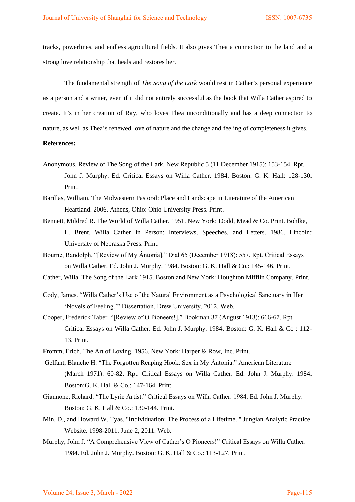tracks, powerlines, and endless agricultural fields. It also gives Thea a connection to the land and a strong love relationship that heals and restores her.

The fundamental strength of *The Song of the Lark* would rest in Cather's personal experience as a person and a writer, even if it did not entirely successful as the book that Willa Cather aspired to create. It's in her creation of Ray, who loves Thea unconditionally and has a deep connection to nature, as well as Thea"s renewed love of nature and the change and feeling of completeness it gives.

## **References:**

- Anonymous. Review of The Song of the Lark. New Republic 5 (11 December 1915): 153-154. Rpt. John J. Murphy. Ed. Critical Essays on Willa Cather. 1984. Boston. G. K. Hall: 128-130. Print.
- Barillas, William. The Midwestern Pastoral: Place and Landscape in Literature of the American Heartland. 2006. Athens, Ohio: Ohio University Press. Print.
- Bennett, Mildred R. The World of Willa Cather. 1951. New York: Dodd, Mead & Co. Print. Bohlke, L. Brent. Willa Cather in Person: Interviews, Speeches, and Letters. 1986. Lincoln: University of Nebraska Press. Print.
- Bourne, Randolph. "[Review of My Ántonia]." Dial 65 (December 1918): 557. Rpt. Critical Essays on Willa Cather. Ed. John J. Murphy. 1984. Boston: G. K. Hall & Co.: 145-146. Print.
- Cather, Willa. The Song of the Lark 1915. Boston and New York: Houghton Mifflin Company. Print.
- Cody, James. "Willa Cather"s Use of the Natural Environment as a Psychological Sanctuary in Her "Novels of Feeling."" Dissertation. Drew University, 2012. Web.
- Cooper, Frederick Taber. "[Review of O Pioneers!]." Bookman 37 (August 1913): 666-67. Rpt. Critical Essays on Willa Cather. Ed. John J. Murphy. 1984. Boston: G. K. Hall & Co : 112- 13. Print.
- Fromm, Erich. The Art of Loving. 1956. New York: Harper & Row, Inc. Print.
- Gelfant, Blanche H. "The Forgotten Reaping Hook: Sex in My Ántonia." American Literature (March 1971): 60-82. Rpt. Critical Essays on Willa Cather. Ed. John J. Murphy. 1984. Boston:G. K. Hall & Co.: 147-164. Print.
- Giannone, Richard. "The Lyric Artist." Critical Essays on Willa Cather. 1984. Ed. John J. Murphy. Boston: G. K. Hall & Co.: 130-144. Print.
- Min, D., and Howard W. Tyas. "Individuation: The Process of a Lifetime. " Jungian Analytic Practice Website. 1998-2011. June 2, 2011. Web.
- Murphy, John J. "A Comprehensive View of Cather"s O Pioneers!" Critical Essays on Willa Cather. 1984. Ed. John J. Murphy. Boston: G. K. Hall & Co.: 113-127. Print.